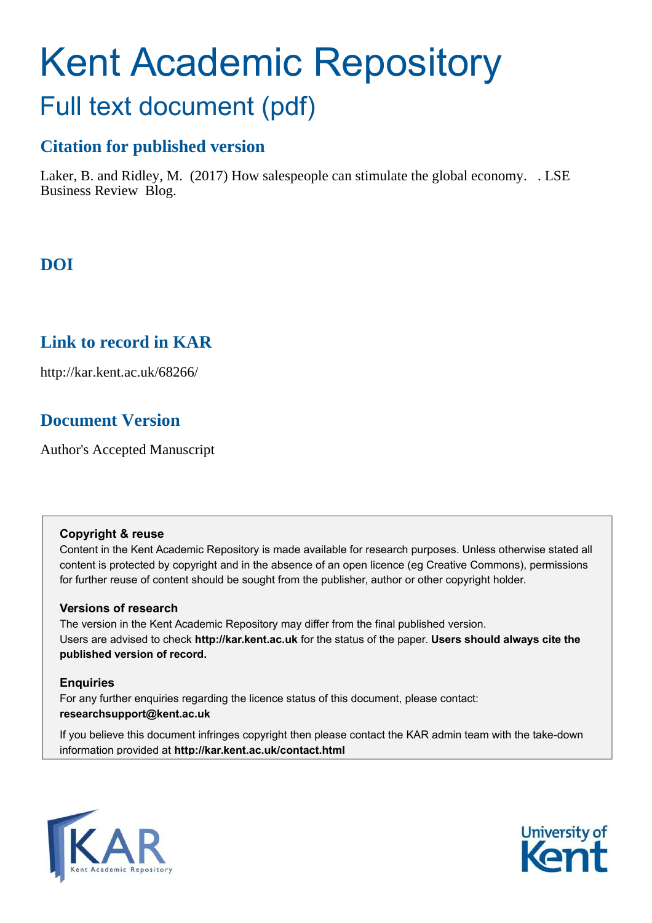# Kent Academic Repository Full text document (pdf)

### **Citation for published version**

Laker, B. and Ridley, M. (2017) How salespeople can stimulate the global economy. . LSE Business Review Blog.

## **DOI**

## **Link to record in KAR**

http://kar.kent.ac.uk/68266/

## **Document Version**

Author's Accepted Manuscript

#### **Copyright & reuse**

Content in the Kent Academic Repository is made available for research purposes. Unless otherwise stated all content is protected by copyright and in the absence of an open licence (eg Creative Commons), permissions for further reuse of content should be sought from the publisher, author or other copyright holder.

#### **Versions of research**

The version in the Kent Academic Repository may differ from the final published version. Users are advised to check **http://kar.kent.ac.uk** for the status of the paper. **Users should always cite the published version of record.**

#### **Enquiries**

For any further enquiries regarding the licence status of this document, please contact: **researchsupport@kent.ac.uk**

If you believe this document infringes copyright then please contact the KAR admin team with the take-down information provided at **http://kar.kent.ac.uk/contact.html**



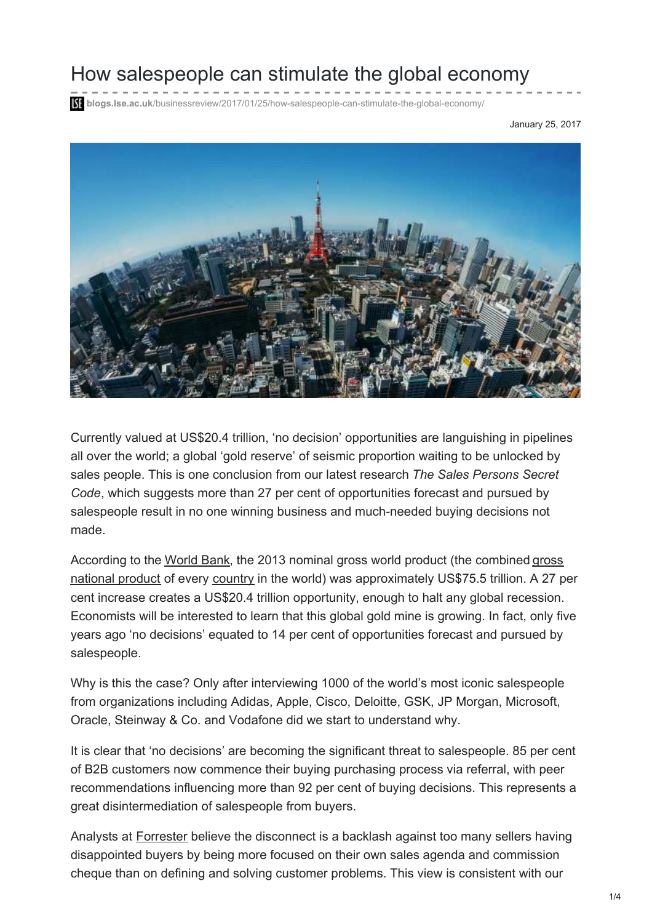## How salespeople can stimulate the global economy

**blidgs.lse.ac.uk**[/businessreview/2017/01/25/how-salespeople-can-stimulate-the-global-economy/](http://blogs.lse.ac.uk/businessreview/2017/01/25/how-salespeople-can-stimulate-the-global-economy/)

January 25, 2017



Currently valued at US\$20.4 trillion, 'no decision' opportunities are languishing in pipelines all over the world; a global 'gold reserve' of seismic proportion waiting to be unlocked by sales people. This is one conclusion from our latest research *The Sales Persons Secret Code*, which suggests more than 27 per cent of opportunities forecast and pursued by salespeople result in no one winning business and much-needed buying decisions not made.

[According to the World Bank, the 2013 nominal gross world product \(the combined gross](https://en.wikipedia.org/wiki/Gross_national_product) national product of every [country](https://en.wikipedia.org/wiki/List_of_countries) in the world) was approximately US\$75.5 trillion. A 27 per cent increase creates a US\$20.4 trillion opportunity, enough to halt any global recession. Economists will be interested to learn that this global gold mine is growing. In fact, only five years ago 'no decisions' equated to 14 per cent of opportunities forecast and pursued by salespeople.

Why is this the case? Only after interviewing 1000 of the world's most iconic salespeople from organizations including Adidas, Apple, Cisco, Deloitte, GSK, JP Morgan, Microsoft, Oracle, Steinway & Co. and Vodafone did we start to understand why.

It is clear that 'no decisions' are becoming the significant threat to salespeople. 85 per cent of B2B customers now commence their buying purchasing process via referral, with peer recommendations influencing more than 92 per cent of buying decisions. This represents a great disintermediation of salespeople from buyers.

Analysts at [Forrester](https://www.forrester.com/report/Death+Of+A+B2B+Salesman/-/E-RES122288) believe the disconnect is a backlash against too many sellers having disappointed buyers by being more focused on their own sales agenda and commission cheque than on defining and solving customer problems. This view is consistent with our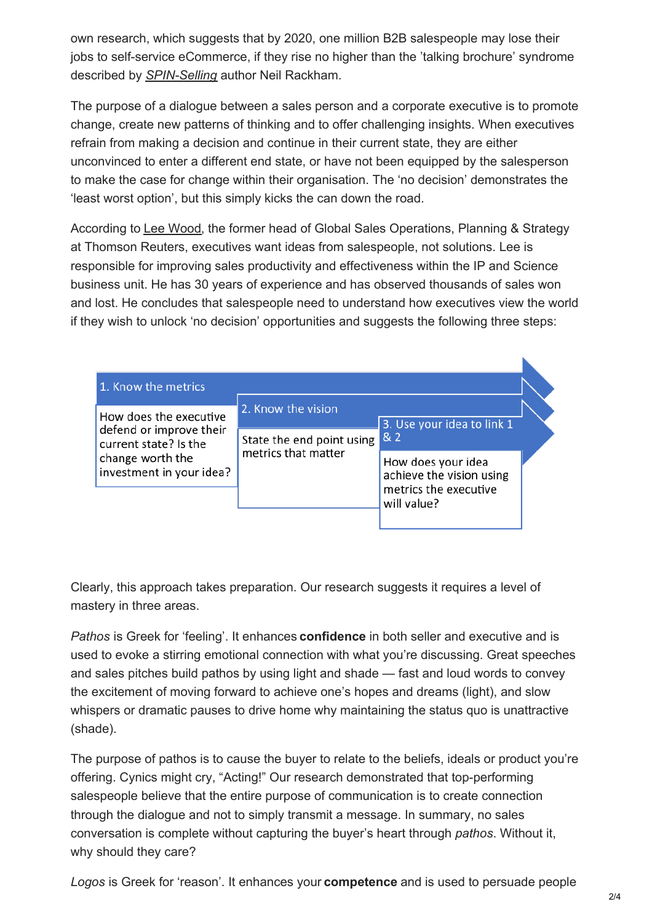own research, which suggests that by 2020, one million B2B salespeople may lose their jobs to self-service eCommerce, if they rise no higher than the 'talking brochure' syndrome described by *[SPIN-Selling](https://www.amazon.co.uk/SPIN%C2%AE-Selling-Neil-Rackham/dp/0566076896)* author Neil Rackham.

The purpose of a dialogue between a sales person and a corporate executive is to promote change, create new patterns of thinking and to offer challenging insights. When executives refrain from making a decision and continue in their current state, they are either unconvinced to enter a different end state, or have not been equipped by the salesperson to make the case for change within their organisation. The 'no decision' demonstrates the 'least worst option', but this simply kicks the can down the road.

According to [Lee Wood](https://www.linkedin.com/in/lee-wood-9158b5?trk=seokp-title_posts_secondary_cluster_res_author_name), the former head of Global Sales Operations, Planning & Strategy at Thomson Reuters, executives want ideas from salespeople, not solutions. Lee is responsible for improving sales productivity and effectiveness within the IP and Science business unit. He has 30 years of experience and has observed thousands of sales won and lost. He concludes that salespeople need to understand how executives view the world if they wish to unlock 'no decision' opportunities and suggests the following three steps:

| 1. Know the metrics                                                                                                        |                                                                        |                                                                                        |  |
|----------------------------------------------------------------------------------------------------------------------------|------------------------------------------------------------------------|----------------------------------------------------------------------------------------|--|
| How does the executive<br>defend or improve their<br>current state? Is the<br>change worth the<br>investment in your idea? | 2. Know the vision<br>State the end point using<br>metrics that matter | 3. Use your idea to link 1<br>8/2                                                      |  |
|                                                                                                                            |                                                                        | How does your idea<br>achieve the vision using<br>metrics the executive<br>will value? |  |

Clearly, this approach takes preparation. Our research suggests it requires a level of mastery in three areas.

*Pathos* is Greek for 'feeling'. It enhances **confidence** in both seller and executive and is used to evoke a stirring emotional connection with what you're discussing. Great speeches and sales pitches build pathos by using light and shade — fast and loud words to convey the excitement of moving forward to achieve one's hopes and dreams (light), and slow whispers or dramatic pauses to drive home why maintaining the status quo is unattractive (shade).

The purpose of pathos is to cause the buyer to relate to the beliefs, ideals or product you're offering. Cynics might cry, "Acting!" Our research demonstrated that top-performing salespeople believe that the entire purpose of communication is to create connection through the dialogue and not to simply transmit a message. In summary, no sales conversation is complete without capturing the buyer's heart through *pathos*. Without it, why should they care?

*Logos* is Greek for 'reason'. It enhances your **competence** and is used to persuade people

K.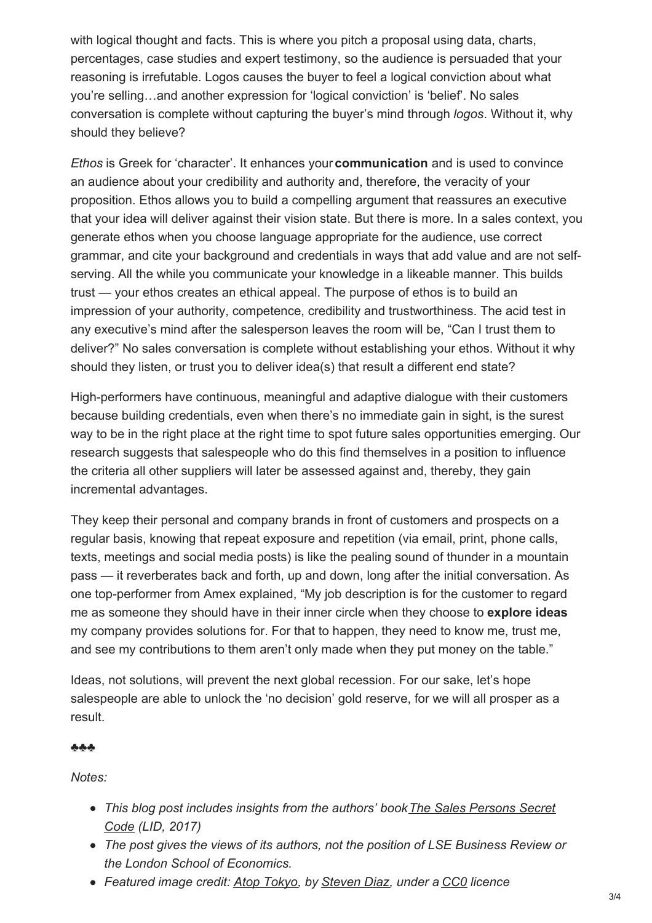with logical thought and facts. This is where you pitch a proposal using data, charts, percentages, case studies and expert testimony, so the audience is persuaded that your reasoning is irrefutable. Logos causes the buyer to feel a logical conviction about what you're selling…and another expression for 'logical conviction' is 'belief'. No sales conversation is complete without capturing the buyer's mind through *logos*. Without it, why should they believe?

*Ethos* is Greek for 'character'. It enhances your **communication** and is used to convince an audience about your credibility and authority and, therefore, the veracity of your proposition. Ethos allows you to build a compelling argument that reassures an executive that your idea will deliver against their vision state. But there is more. In a sales context, you generate ethos when you choose language appropriate for the audience, use correct grammar, and cite your background and credentials in ways that add value and are not selfserving. All the while you communicate your knowledge in a likeable manner. This builds trust — your ethos creates an ethical appeal. The purpose of ethos is to build an impression of your authority, competence, credibility and trustworthiness. The acid test in any executive's mind after the salesperson leaves the room will be, "Can I trust them to deliver?" No sales conversation is complete without establishing your ethos. Without it why should they listen, or trust you to deliver idea(s) that result a different end state?

High-performers have continuous, meaningful and adaptive dialogue with their customers because building credentials, even when there's no immediate gain in sight, is the surest way to be in the right place at the right time to spot future sales opportunities emerging. Our research suggests that salespeople who do this find themselves in a position to influence the criteria all other suppliers will later be assessed against and, thereby, they gain incremental advantages.

They keep their personal and company brands in front of customers and prospects on a regular basis, knowing that repeat exposure and repetition (via email, print, phone calls, texts, meetings and social media posts) is like the pealing sound of thunder in a mountain pass — it reverberates back and forth, up and down, long after the initial conversation. As one top-performer from Amex explained, "My job description is for the customer to regard me as someone they should have in their inner circle when they choose to **explore ideas** my company provides solutions for. For that to happen, they need to know me, trust me, and see my contributions to them aren't only made when they put money on the table."

Ideas, not solutions, will prevent the next global recession. For our sake, let's hope salespeople are able to unlock the 'no decision' gold reserve, for we will all prosper as a result.

#### ♣♣♣

*Notes:*

- *[This blog post includes insights from the authors' book The Sales Persons Secret](http://www.salespersons-secret-code.com/) Code (LID, 2017)*
- *The post gives the views of its authors, not the position of LSE Business Review or the London School of Economics.*
- *Featured image credit: [Atop Tokyo](https://unsplash.com/search/world?photo=LS2cytbaiUM), by [Steven Diaz](https://unsplash.com/@stevendiazphoto), under a [CC0](https://unsplash.com/license) licence*